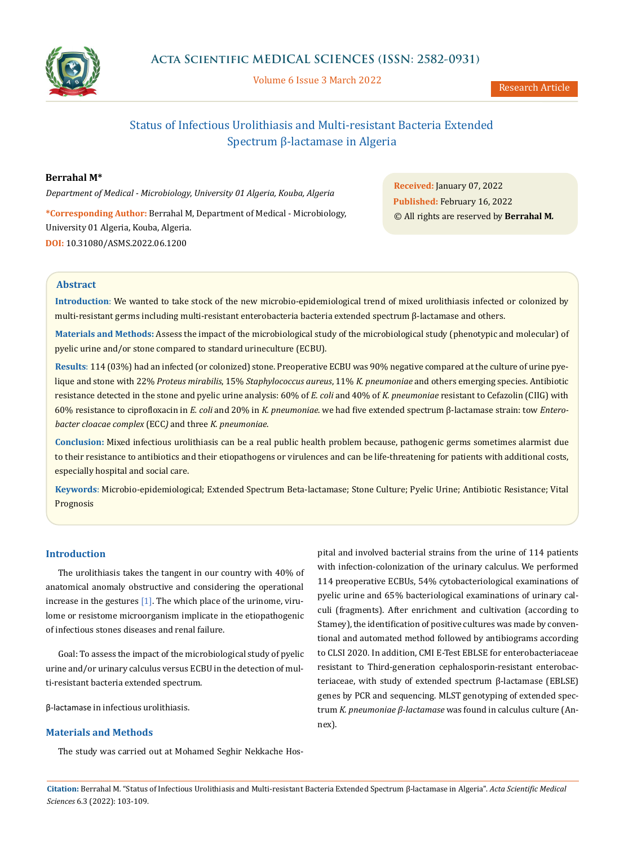

Volume 6 Issue 3 March 2022

# Status of Infectious Urolithiasis and Multi-resistant Bacteria Extended Spectrum β-lactamase in Algeria

**Berrahal M\***

*Department of Medical - Microbiology, University 01 Algeria, Kouba, Algeria* **\*Corresponding Author:** Berrahal M, Department of Medical - Microbiology, University 01 Algeria, Kouba, Algeria.

**DOI:** [10.31080/ASMS.2022.06.1200](https://actascientific.com/ASMS/pdf/ASMS-06-1200.pdf)

**Received:** January 07, 2022 **Published:** February 16, 2022 © All rights are reserved by **Berrahal M***.*

## **Abstract**

**Introduction**: We wanted to take stock of the new microbio-epidemiological trend of mixed urolithiasis infected or colonized by multi-resistant germs including multi-resistant enterobacteria bacteria extended spectrum β-lactamase and others.

**Materials and Methods:** Assess the impact of the microbiological study of the microbiological study (phenotypic and molecular) of pyelic urine and/or stone compared to standard urineculture (ECBU).

**Results**: 114 (03%) had an infected (or colonized) stone. Preoperative ECBU was 90% negative compared at the culture of urine pyelique and stone with 22% *Proteus mirabilis*, 15% *Staphylococcus aureus*, 11% *K. pneumoniae* and others emerging species. Antibiotic resistance detected in the stone and pyelic urine analysis: 60% of *E. coli* and 40% of *K. pneumoniae* resistant to Cefazolin (CIIG) with 60% resistance to ciprofloxacin in *E. coli* and 20% in *K. pneumoniae*. we had five extended spectrum β-lactamase strain: tow *Enterobacter cloacae complex* (ECC*)* and three *K. pneumoniae*.

**Conclusion:** Mixed infectious urolithiasis can be a real public health problem because, pathogenic germs sometimes alarmist due to their resistance to antibiotics and their etiopathogens or virulences and can be life-threatening for patients with additional costs, especially hospital and social care.

**Keywords**: Microbio-epidemiological; Extended Spectrum Beta-lactamase; Stone Culture; Pyelic Urine; Antibiotic Resistance; Vital Prognosis

# **Introduction**

The urolithiasis takes the tangent in our country with 40% of anatomical anomaly obstructive and considering the operational increase in the gestures [1]. The which place of the urinome, virulome or resistome microorganism implicate in the etiopathogenic of infectious stones diseases and renal failure.

Goal: To assess the impact of the microbiological study of pyelic urine and/or urinary calculus versus ECBU in the detection of multi-resistant bacteria extended spectrum.

β-lactamase in infectious urolithiasis.

## **Materials and Methods**

The study was carried out at Mohamed Seghir Nekkache Hos-

pital and involved bacterial strains from the urine of 114 patients with infection-colonization of the urinary calculus. We performed 114 preoperative ECBUs, 54% cytobacteriological examinations of pyelic urine and 65% bacteriological examinations of urinary calculi (fragments). After enrichment and cultivation (according to Stamey), the identification of positive cultures was made by conventional and automated method followed by antibiograms according to CLSI 2020. In addition, CMI E-Test EBLSE for enterobacteriaceae resistant to Third-generation cephalosporin-resistant enterobacteriaceae, with study of extended spectrum β-lactamase (EBLSE) genes by PCR and sequencing. MLST genotyping of extended spectrum *K. pneumoniae β-lactamase* was found in calculus culture (Annex).

**Citation:** Berrahal M*.* "Status of Infectious Urolithiasis and Multi-resistant Bacteria Extended Spectrum β-lactamase in Algeria". *Acta Scientific Medical Sciences* 6.3 (2022): 103-109.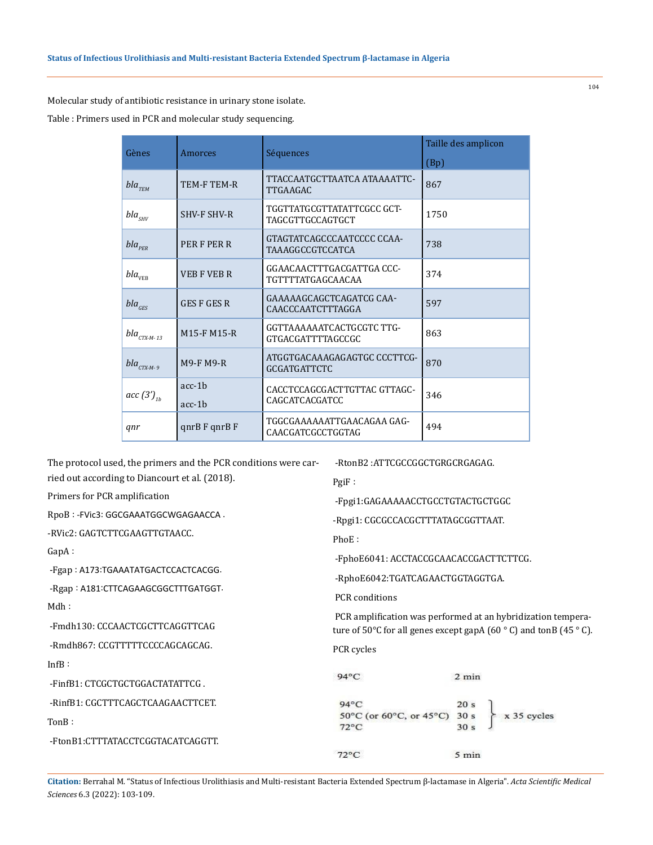Molecular study of antibiotic resistance in urinary stone isolate.

Table : Primers used in PCR and molecular study sequencing.

| Gènes                          | Amorces                               | Séquences                                             | Taille des amplicon<br>(Bp) |
|--------------------------------|---------------------------------------|-------------------------------------------------------|-----------------------------|
| $bla$ <sub>TEM</sub>           | TEM-F TEM-R                           | TTACCAATGCTTAATCA ATAAAATTC-<br><b>TTGAAGAC</b>       | 867                         |
| $bla_{\scriptscriptstyle SHV}$ | <b>SHV-F SHV-R</b>                    | TGGTTATGCGTTATATTCGCC GCT-<br>TAGCGTTGCCAGTGCT        | 1750                        |
| $bla_{PER}$                    | PER F PER R                           | GTAGTATCAGCCCAATCCCC CCAA-<br><b>TAAAGGCCGTCCATCA</b> | 738                         |
| bla <sub>VEB</sub>             | <b>VEB F VEB R</b>                    | GGAACAACTTTGACGATTGA CCC-<br><b>TGTTTTATGAGCAACAA</b> | 374                         |
| $bla_{GES}$                    | <b>GES F GES R</b>                    | GAAAAAGCAGCTCAGATCG CAA-<br>CAACCCAATCTTTAGGA         | 597                         |
| $bla_{CTX-M-13}$               | M <sub>15</sub> -F M <sub>15</sub> -R | GGTTAAAAAATCACTGCGTC TTG-<br>GTGACGATTTTAGCCGC        | 863                         |
| $bla_{CTX-M-9}$                | <b>M9-F M9-R</b>                      | ATGGTGACAAAGAGAGTGC CCCTTCG-<br><b>GCGATGATTCTC</b>   | 870                         |
| acc $(3')_{th}$                | $acc-1b$<br>$acc-1b$                  | CACCTCCAGCGACTTGTTAC GTTAGC-<br>CAGCATCACGATCC        | 346                         |
| qnr                            | qnR F qnrB F                          | TGGCGAAAAAATTGAACAGAA GAG-<br>CAACGATCGCCTGGTAG       | 494                         |

PgiF :

The protocol used, the primers and the PCR conditions were carried out according to Diancourt et al. (2018).

-RtonB2 :ATTCGCCGGCTGRGCRGAGAG.

Primers for PCR amplification

RpoB : -FVic3: GGCGAAATGGCWGAGAACCA .

-RVic2: GAGTCTTCGAAGTTGTAACC.

GapA :

-Fgap : A173:TGAAATATGACTCCACTCACGG.

 -Rgap : A181:CTTCAGAAGCGGCTTTGATGGT. Mdh :

-Fmdh130: CCCAACTCGCTTCAGGTTCAG

-Rmdh867: CCGTTTTTCCCCAGCAGCAG.

InfB :

-FinfB1: CTCGCTGCTGGACTATATTCG .

-RinfB1: CGCTTTCAGCTCAAGAACTTCET.

TonB :

-FtonB1:CTTTATACCTCGGTACATCAGGTT.

 -Fpgi1:GAGAAAAACCTGCCTGTACTGCTGGC -Rpgi1: CGCGCCACGCTTTATAGCGGTTAAT. PhoE : -FphoE6041: ACCTACCGCAACACCGACTTCTTCG. -RphoE6042:TGATCAGAACTGGTAGGTGA. PCR conditions PCR amplification was performed at an hybridization temperature of  $50^{\circ}$ C for all genes except gapA (60  $^{\circ}$  C) and tonB (45  $^{\circ}$  C). PCR cycles 94°C  $2$  min

| $94^{\circ}$ C               | 20 <sub>s</sub> |             |
|------------------------------|-----------------|-------------|
| 50°C (or 60°C, or 45°C) 30 s |                 | x 35 cycles |
| $72^{\circ}$ C               | 30 <sub>s</sub> |             |
| $72^{\circ}C$                | 5 min           |             |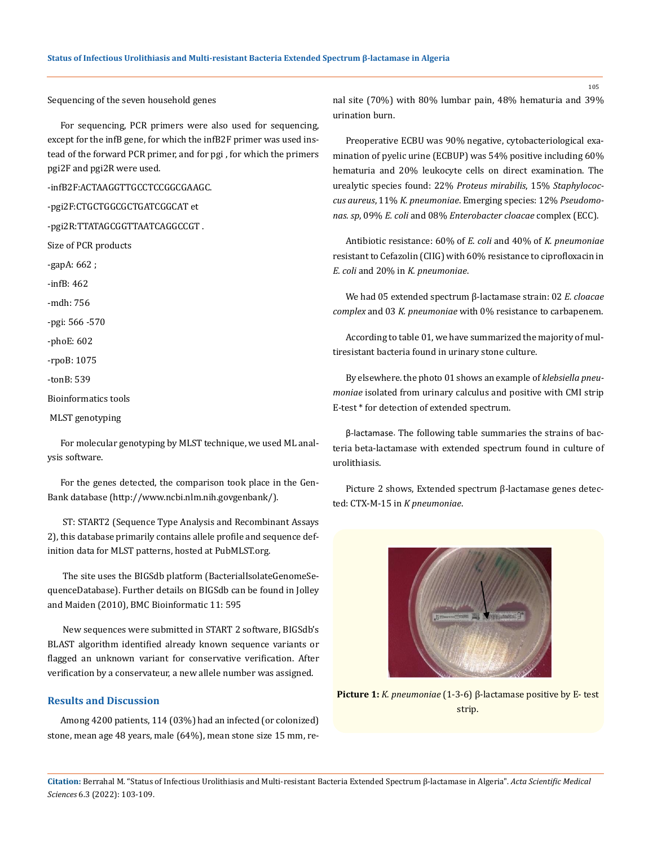Sequencing of the seven household genes

For sequencing, PCR primers were also used for sequencing, except for the infB gene, for which the infB2F primer was used instead of the forward PCR primer, and for pgi , for which the primers pgi2F and pgi2R were used.

-infB2F:ACTAAGGTTGCCTCCGGCGAAGC.

-pgi2F:CTGCTGGCGCTGATCGGCAT et

-pgi2R:TTATAGCGGTTAATCAGGCCGT .

Size of PCR products

-gapA: 662 ;

-infB: 462

-mdh: 756

-pgi: 566 -570

-phoE: 602

-rpoB: 1075

-tonB: 539

Bioinformatics tools

MLST genotyping

For molecular genotyping by MLST technique, we used ML analysis software.

For the genes detected, the comparison took place in the Gen-Bank database (http://www.ncbi.nlm.nih.govgenbank/).

 ST: START2 (Sequence Type Analysis and Recombinant Assays 2), this database primarily contains allele profile and sequence definition data for MLST patterns, hosted at PubMLST.org.

 The site uses the BIGSdb platform (BacterialIsolateGenomeSequenceDatabase). Further details on BIGSdb can be found in Jolley and Maiden (2010), BMC Bioinformatic 11: 595

 New sequences were submitted in START 2 software, BIGSdb's BLAST algorithm identified already known sequence variants or flagged an unknown variant for conservative verification. After verification by a conservateur, a new allele number was assigned.

## **Results and Discussion**

Among 4200 patients, 114 (03%) had an infected (or colonized) stone, mean age 48 years, male (64%), mean stone size 15 mm, renal site (70%) with 80% lumbar pain, 48% hematuria and 39% urination burn.

Preoperative ECBU was 90% negative, cytobacteriological examination of pyelic urine (ECBUP) was 54% positive including 60% hematuria and 20% leukocyte cells on direct examination. The urealytic species found: 22% *Proteus mirabilis*, 15% *Staphylococcus aureus*, 11% *K. pneumoniae*. Emerging species: 12% *Pseudomonas. sp*, 09% *E. coli* and 08% *Enterobacter cloacae* complex (ECC).

Antibiotic resistance: 60% of *E. coli* and 40% of *K. pneumoniae* resistant to Cefazolin (CIIG) with 60% resistance to ciprofloxacin in *E. coli* and 20% in *K. pneumoniae*.

We had 05 extended spectrum β-lactamase strain: 02 *E. cloacae complex* and 03 *K. pneumoniae* with 0% resistance to carbapenem.

According to table 01, we have summarized the majority of multiresistant bacteria found in urinary stone culture.

By elsewhere. the photo 01 shows an example of *klebsiella pneumoniae* isolated from urinary calculus and positive with CMI strip E-test \* for detection of extended spectrum.

β-lactamase. The following table summaries the strains of bacteria beta-lactamase with extended spectrum found in culture of urolithiasis.

Picture 2 shows, Extended spectrum β-lactamase genes detected: CTX-M-15 in *K pneumoniae*.



**Citation:** Berrahal M*.* "Status of Infectious Urolithiasis and Multi-resistant Bacteria Extended Spectrum β-lactamase in Algeria". *Acta Scientific Medical Sciences* 6.3 (2022): 103-109.

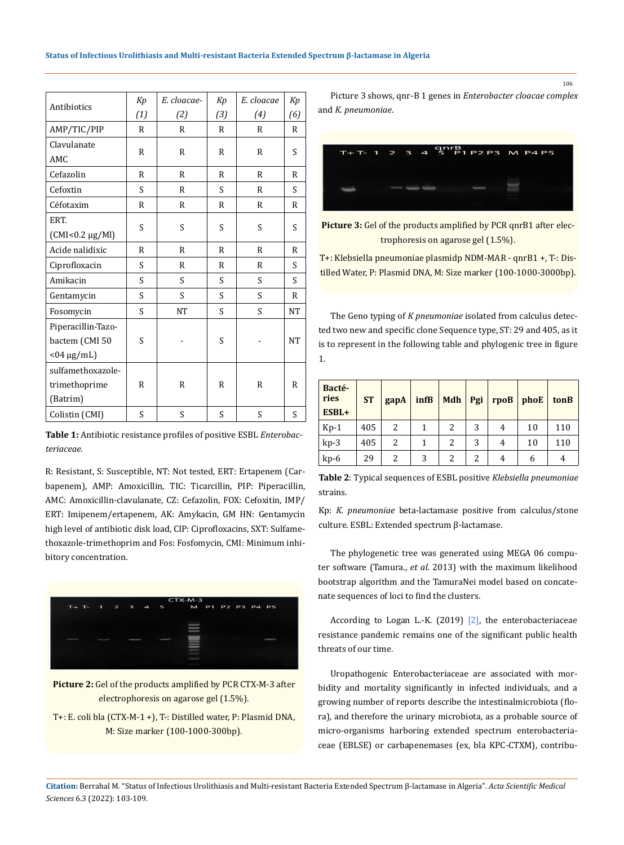|                      | Kp           | E. cloacae-  | Kp           | E. cloacae   | Kp           | Picture 3 shows         |  |  |
|----------------------|--------------|--------------|--------------|--------------|--------------|-------------------------|--|--|
| Antibiotics          | (1)          | (2)          | (3)          | (4)          | (6)          | and K. pneumoniae.      |  |  |
| AMP/TIC/PIP          | R            | R            | R            | R            | R            |                         |  |  |
| Clavulanate          |              |              |              |              |              |                         |  |  |
| AMC                  | R            | $\mathbb{R}$ | R            | R            | S            | Ξ                       |  |  |
| Cefazolin            | R            | R            | R            | R            | R            |                         |  |  |
| Cefoxtin             | S            | $\mathsf{R}$ | S            | R            | S            |                         |  |  |
| Céfotaxim            | $\mathbb{R}$ | $\mathbb{R}$ | $\mathbb{R}$ | R            | $\mathbb{R}$ |                         |  |  |
| ERT.                 |              |              |              |              |              | Picture 3: Gel of tl    |  |  |
| $(CMI<0.2 \mu g/Ml)$ | S            | S            | S            | S            | S            | tro                     |  |  |
| Acide nalidixic      | $\mathsf{R}$ | R            | $\mathsf{R}$ | R            | $\mathsf{R}$ |                         |  |  |
| Ciprofloxacin        | S            | $\mathbb{R}$ | $\mathbb{R}$ | R            | S            | T+: Klebsiella pneu     |  |  |
| Amikacin             | S            | S            | S            | S            | S            | tilled Water, P: Plas   |  |  |
| Gentamycin           | S            | S            | S            | S            | $\mathbb{R}$ |                         |  |  |
| Fosomycin            | S            | <b>NT</b>    | S            | S            | <b>NT</b>    | The Geno typing         |  |  |
| Piperacillin-Tazo-   |              |              |              |              |              | ted two new and sp      |  |  |
| bactem (CMI 50       | S            |              | S            |              | <b>NT</b>    | is to represent in tl   |  |  |
| $<$ 04 µg/mL)        |              |              |              |              |              | 1.                      |  |  |
| sulfamethoxazole-    |              |              |              |              |              |                         |  |  |
| trimethoprime        | R            | R            | R            | $\mathbb{R}$ | R            | Bacté-                  |  |  |
| (Batrim)             |              |              |              |              |              | ries<br><b>ST</b><br>ga |  |  |
| Colistin (CMI)       | S            | S            | S            | S            | S            | ESBL+                   |  |  |

**Table 1:** Antibiotic resistance profiles of positive ESBL *Enterobacteriaceae.*

R: Resistant, S: Susceptible, NT: Not tested, ERT: Ertapenem (Carbapenem), AMP: Amoxicillin, TIC: Ticarcillin, PIP: Piperacillin, AMC: Amoxicillin-clavulanate, CZ: Cefazolin, FOX: Cefoxitin, IMP/ ERT: Imipenem/ertapenem, AK: Amykacin, GM HN: Gentamycin high level of antibiotic disk load, CIP: Ciprofloxacins, SXT: Sulfamethoxazole-trimethoprim and Fos: Fosfomycin, CMI: Minimum inhibitory concentration.



**Picture 2:** Gel of the products amplified by PCR CTX-M-3 after electrophoresis on agarose gel (1.5%).

T+: E. coli bla (CTX-M-1 +), T-: Distilled water, P: Plasmid DNA, M: Size marker (100-1000-300bp).

Picture 3 shows, qnr-B 1 genes in *Enterobacter cloacae complex*

|  |  | $T+T-1$ 2 3 4 5 P1 P2 P3 M P4 P5 |  |
|--|--|----------------------------------|--|
|  |  |                                  |  |

Picture 3: Gel of the products amplified by PCR qnrB1 after electrophoresis on agarose gel (1.5%).

T+: Klebsiella pneumoniae plasmidp NDM-MAR - qnrB1 +, T-: Distilled Water, P: Plasmid DNA, M: Size marker (100-1000-3000bp).

The Geno typing of *K pneumoniae* isolated from calculus detected two new and specific clone Sequence type, ST: 29 and 405, as it is to represent in the following table and phylogenic tree in figure 1.

| Bacté-<br>ries<br>ESBL+ | <b>ST</b> | gapA | infB | <b>Mdh</b> | Pgi | rpoB | phoE | tonB |
|-------------------------|-----------|------|------|------------|-----|------|------|------|
| $Kp-1$                  | 405       | 2    |      |            | 3   | 4    | 10   | 110  |
| $kp-3$                  | 405       | 2    |      | 2          | 3   | 4    | 10   | 110  |
| $kp-6$                  | 29        | 2    | 3    |            | 2   | 4    | h    | 4    |

**Table 2**: Typical sequences of ESBL positive *Klebsiella pneumoniae* strains.

Kp: *K. pneumoniae* beta-lactamase positive from calculus/stone culture. ESBL: Extended spectrum β-lactamase.

The phylogenetic tree was generated using MEGA 06 computer software (Tamura., *et al*. 2013) with the maximum likelihood bootstrap algorithm and the TamuraNei model based on concatenate sequences of loci to find the clusters.

According to Logan L.-K. (2019) [2], the enterobacteriaceae resistance pandemic remains one of the significant public health threats of our time.

Uropathogenic Enterobacteriaceae are associated with morbidity and mortality significantly in infected individuals, and a growing number of reports describe the intestinalmicrobiota (flora), and therefore the urinary microbiota, as a probable source of micro-organisms harboring extended spectrum enterobacteriaceae (EBLSE) or carbapenemases (ex, bla KPC-CTXM), contribu-

**Citation:** Berrahal M*.* "Status of Infectious Urolithiasis and Multi-resistant Bacteria Extended Spectrum β-lactamase in Algeria". *Acta Scientific Medical Sciences* 6.3 (2022): 103-109.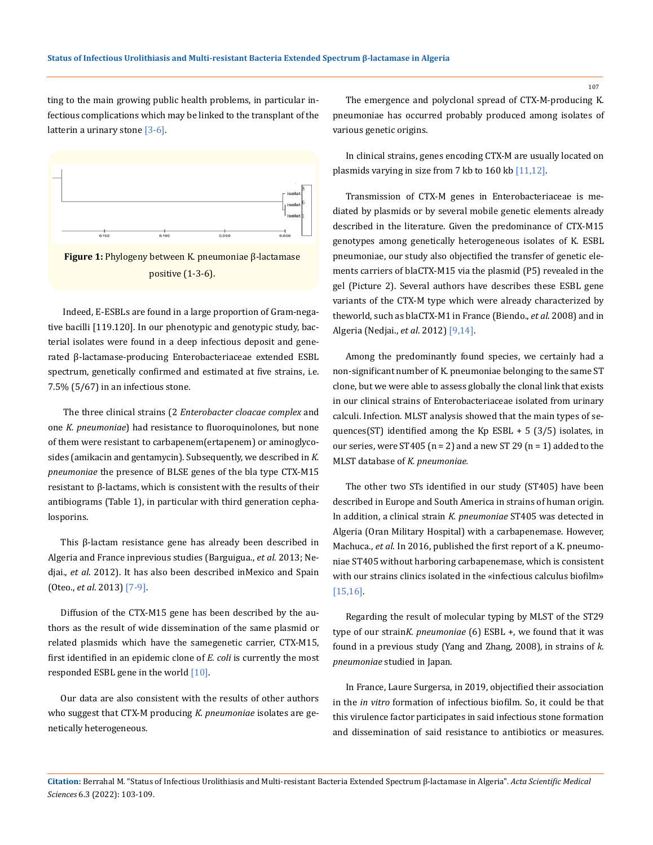ting to the main growing public health problems, in particular infectious complications which may be linked to the transplant of the latterin a urinary stone  $[3-6]$ .





 Indeed, E-ESBLs are found in a large proportion of Gram-negative bacilli [119.120]. In our phenotypic and genotypic study, bacterial isolates were found in a deep infectious deposit and generated β-lactamase-producing Enterobacteriaceae extended ESBL spectrum, genetically confirmed and estimated at five strains, i.e. 7.5% (5/67) in an infectious stone.

 The three clinical strains (2 *Enterobacter cloacae complex* and one *K. pneumoniae*) had resistance to fluoroquinolones, but none of them were resistant to carbapenem(ertapenem) or aminoglycosides (amikacin and gentamycin). Subsequently, we described in *K. pneumoniae* the presence of BLSE genes of the bla type CTX-M15 resistant to β-lactams, which is consistent with the results of their antibiograms (Table 1), in particular with third generation cephalosporins.

This β-lactam resistance gene has already been described in Algeria and France inprevious studies (Barguigua., *et al*. 2013; Nedjai., *et al*. 2012). It has also been described inMexico and Spain (Oteo., *et al*. 2013) [7-9].

Diffusion of the CTX-M15 gene has been described by the authors as the result of wide dissemination of the same plasmid or related plasmids which have the samegenetic carrier, CTX-M15, first identified in an epidemic clone of *E. coli* is currently the most responded ESBL gene in the world [10].

Our data are also consistent with the results of other authors who suggest that CTX-M producing *K. pneumoniae* isolates are genetically heterogeneous.

The emergence and polyclonal spread of CTX-M-producing K. pneumoniae has occurred probably produced among isolates of various genetic origins.

In clinical strains, genes encoding CTX-M are usually located on plasmids varying in size from 7 kb to 160 kb [11,12].

Transmission of CTX-M genes in Enterobacteriaceae is mediated by plasmids or by several mobile genetic elements already described in the literature. Given the predominance of CTX-M15 genotypes among genetically heterogeneous isolates of K. ESBL pneumoniae, our study also objectified the transfer of genetic elements carriers of blaCTX-M15 via the plasmid (P5) revealed in the gel (Picture 2). Several authors have describes these ESBL gene variants of the CTX-M type which were already characterized by theworld, such as blaCTX-M1 in France (Biendo., *et al*. 2008) and in Algeria (Nedjai., *et al*. 2012) [9,14].

Among the predominantly found species, we certainly had a non-significant number of K. pneumoniae belonging to the same ST clone, but we were able to assess globally the clonal link that exists in our clinical strains of Enterobacteriaceae isolated from urinary calculi. Infection. MLST analysis showed that the main types of sequences(ST) identified among the Kp ESBL + 5 (3/5) isolates, in our series, were ST405 ( $n = 2$ ) and a new ST 29 ( $n = 1$ ) added to the MLST database of *K. pneumoniae.*

The other two STs identified in our study (ST405) have been described in Europe and South America in strains of human origin. In addition, a clinical strain *K. pneumoniae* ST405 was detected in Algeria (Oran Military Hospital) with a carbapenemase. However, Machuca., *et al*. In 2016, published the first report of a K. pneumoniae ST405 without harboring carbapenemase, which is consistent with our strains clinics isolated in the «infectious calculus biofilm» [15,16].

Regarding the result of molecular typing by MLST of the ST29 type of our strain*K. pneumoniae* (6) ESBL +, we found that it was found in a previous study (Yang and Zhang, 2008), in strains of *k. pneumoniae* studied in Japan.

In France, Laure Surgersa, in 2019, objectified their association in the *in vitro* formation of infectious biofilm. So, it could be that this virulence factor participates in said infectious stone formation and dissemination of said resistance to antibiotics or measures.

**Citation:** Berrahal M*.* "Status of Infectious Urolithiasis and Multi-resistant Bacteria Extended Spectrum β-lactamase in Algeria". *Acta Scientific Medical Sciences* 6.3 (2022): 103-109.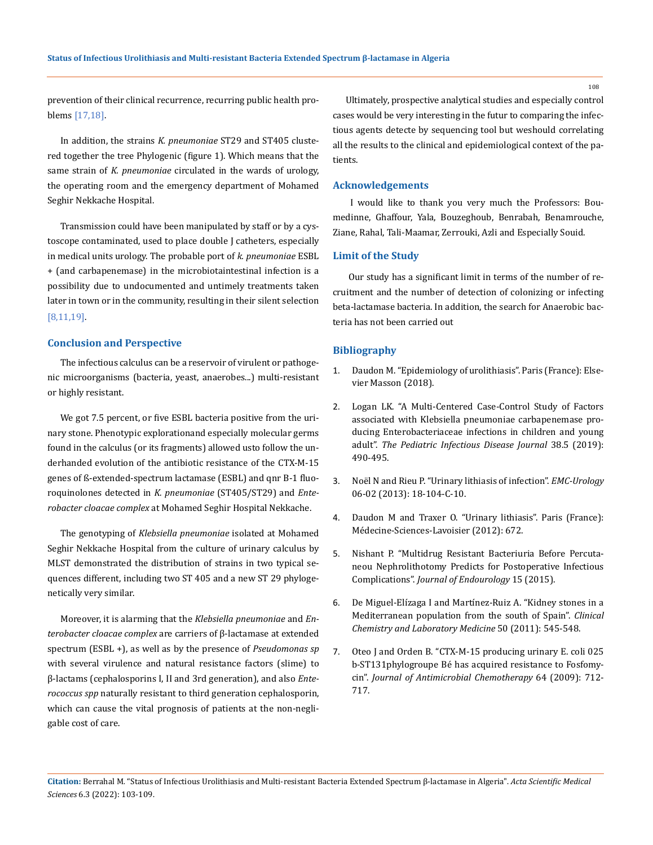prevention of their clinical recurrence, recurring public health problems [17,18].

In addition, the strains *K. pneumoniae* ST29 and ST405 clustered together the tree Phylogenic (figure 1). Which means that the same strain of *K. pneumoniae* circulated in the wards of urology, the operating room and the emergency department of Mohamed Seghir Nekkache Hospital.

Transmission could have been manipulated by staff or by a cystoscope contaminated, used to place double J catheters, especially in medical units urology. The probable port of *k. pneumoniae* ESBL + (and carbapenemase) in the microbiotaintestinal infection is a possibility due to undocumented and untimely treatments taken later in town or in the community, resulting in their silent selection [8,11,19].

#### **Conclusion and Perspective**

The infectious calculus can be a reservoir of virulent or pathogenic microorganisms (bacteria, yeast, anaerobes...) multi-resistant or highly resistant.

We got 7.5 percent, or five ESBL bacteria positive from the urinary stone. Phenotypic explorationand especially molecular germs found in the calculus (or its fragments) allowed usto follow the underhanded evolution of the antibiotic resistance of the CTX-M-15 genes of ß-extended-spectrum lactamase (ESBL) and qnr B-1 fluoroquinolones detected in *K. pneumoniae* (ST405/ST29) and *Enterobacter cloacae complex* at Mohamed Seghir Hospital Nekkache.

The genotyping of *Klebsiella pneumoniae* isolated at Mohamed Seghir Nekkache Hospital from the culture of urinary calculus by MLST demonstrated the distribution of strains in two typical sequences different, including two ST 405 and a new ST 29 phylogenetically very similar.

Moreover, it is alarming that the *Klebsiella pneumoniae* and *Enterobacter cloacae complex* are carriers of β-lactamase at extended spectrum (ESBL +), as well as by the presence of *Pseudomonas sp* with several virulence and natural resistance factors (slime) to β-lactams (cephalosporins I, II and 3rd generation), and also *Enterococcus spp* naturally resistant to third generation cephalosporin, which can cause the vital prognosis of patients at the non-negligable cost of care.

Ultimately, prospective analytical studies and especially control cases would be very interesting in the futur to comparing the infectious agents detecte by sequencing tool but weshould correlating all the results to the clinical and epidemiological context of the patients.

### **Acknowledgements**

I would like to thank you very much the Professors: Boumedinne, Ghaffour, Yala, Bouzeghoub, Benrabah, Benamrouche, Ziane, Rahal, Tali-Maamar, Zerrouki, Azli and Especially Souid.

#### **Limit of the Study**

Our study has a significant limit in terms of the number of recruitment and the number of detection of colonizing or infecting beta-lactamase bacteria. In addition, the search for Anaerobic bacteria has not been carried out

## **Bibliography**

- 1. Daudon M. "Epidemiology of urolithiasis". Paris (France): Elsevier Masson (2018).
- 2. [Logan LK. "A Multi-Centered Case-Control Study of Factors](https://pubmed.ncbi.nlm.nih.gov/30169484/)  [associated with Klebsiella pneumoniae carbapenemase pro](https://pubmed.ncbi.nlm.nih.gov/30169484/)[ducing Enterobacteriaceae infections in children and young](https://pubmed.ncbi.nlm.nih.gov/30169484/)  adult". *[The Pediatric Infectious Disease Journal](https://pubmed.ncbi.nlm.nih.gov/30169484/)* 38.5 (2019): [490-495.](https://pubmed.ncbi.nlm.nih.gov/30169484/)
- 3. Noël N and Rieu P. "Urinary lithiasis of infection". *EMC-Urology*  06-02 (2013): 18-104-C-10.
- 4. Daudon M and Traxer O. "Urinary lithiasis". Paris (France): Médecine-Sciences-Lavoisier (2012): 672.
- 5. Nishant P. "Multidrug Resistant Bacteriuria Before Percutaneou Nephrolithotomy Predicts for Postoperative Infectious Complications". *Journal of Endourology* 15 (2015).
- 6. [De Miguel-Elízaga I and Martínez-Ruiz A. "Kidney stones in a](https://pubmed.ncbi.nlm.nih.gov/22718638/)  [Mediterranean population from the south of Spain".](https://pubmed.ncbi.nlm.nih.gov/22718638/) *Clinical [Chemistry and Laboratory Medicine](https://pubmed.ncbi.nlm.nih.gov/22718638/)* 50 (2011): 545-548.
- 7. [Oteo J and Orden B. "CTX-M-15 producing urinary E. coli 025](https://pubmed.ncbi.nlm.nih.gov/19671590/)  [b-ST131phylogroupe Bé has acquired resistance to Fosfomy](https://pubmed.ncbi.nlm.nih.gov/19671590/)cin". *[Journal of Antimicrobial Chemotherapy](https://pubmed.ncbi.nlm.nih.gov/19671590/)* 64 (2009): 712- [717.](https://pubmed.ncbi.nlm.nih.gov/19671590/)

**Citation:** Berrahal M*.* "Status of Infectious Urolithiasis and Multi-resistant Bacteria Extended Spectrum β-lactamase in Algeria". *Acta Scientific Medical Sciences* 6.3 (2022): 103-109.